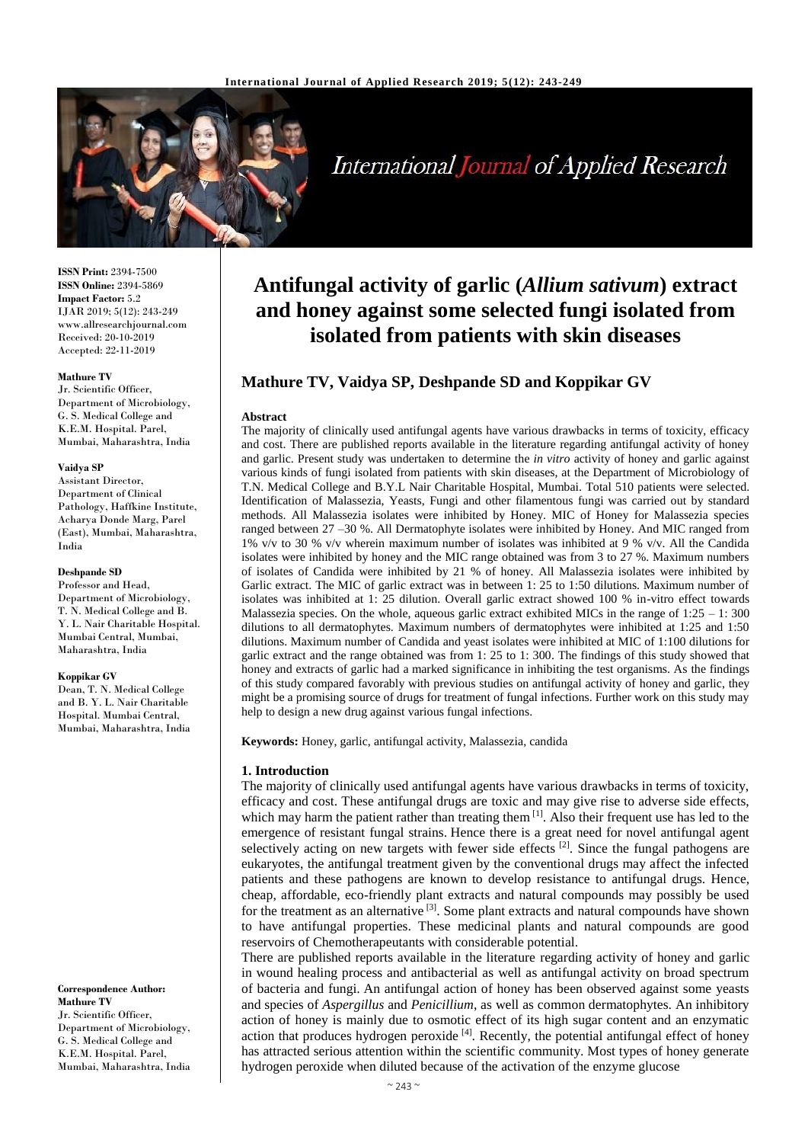

# International Journal of Applied Research

**ISSN Print:** 2394-7500 **ISSN Online:** 2394-5869 **Impact Factor:** 5.2 IJAR 2019; 5(12): 243-249 www.allresearchjournal.com Received: 20-10-2019 Accepted: 22-11-2019

#### **Mathure TV**

Jr. Scientific Officer, Department of Microbiology, G. S. Medical College and K.E.M. Hospital. Parel, Mumbai, Maharashtra, India

#### **Vaidya SP**

Assistant Director, Department of Clinical Pathology, Haffkine Institute, Acharya Donde Marg, Parel (East), Mumbai, Maharashtra, India

# **Deshpande SD**

Professor and Head, Department of Microbiology, T. N. Medical College and B. Y. L. Nair Charitable Hospital. Mumbai Central, Mumbai, Maharashtra, India

#### **Koppikar GV**

Dean, T. N. Medical College and B. Y. L. Nair Charitable Hospital. Mumbai Central, Mumbai, Maharashtra, India

**Correspondence Author: Mathure TV** Jr. Scientific Officer, Department of Microbiology, G. S. Medical College and K.E.M. Hospital. Parel, Mumbai, Maharashtra, India

# **Antifungal activity of garlic (***Allium sativum***) extract and honey against some selected fungi isolated from isolated from patients with skin diseases**

# **Mathure TV, Vaidya SP, Deshpande SD and Koppikar GV**

### **Abstract**

The majority of clinically used antifungal agents have various drawbacks in terms of toxicity, efficacy and cost. There are published reports available in the literature regarding antifungal activity of honey and garlic. Present study was undertaken to determine the *in vitro* activity of honey and garlic against various kinds of fungi isolated from patients with skin diseases, at the Department of Microbiology of T.N. Medical College and B.Y.L Nair Charitable Hospital, Mumbai. Total 510 patients were selected. Identification of Malassezia, Yeasts, Fungi and other filamentous fungi was carried out by standard methods. All Malassezia isolates were inhibited by Honey. MIC of Honey for Malassezia species ranged between 27 –30 %. All Dermatophyte isolates were inhibited by Honey. And MIC ranged from 1% v/v to 30 % v/v wherein maximum number of isolates was inhibited at 9 % v/v. All the Candida isolates were inhibited by honey and the MIC range obtained was from 3 to 27 %. Maximum numbers of isolates of Candida were inhibited by 21 % of honey. All Malassezia isolates were inhibited by Garlic extract. The MIC of garlic extract was in between 1: 25 to 1:50 dilutions. Maximum number of isolates was inhibited at 1: 25 dilution. Overall garlic extract showed 100 % in-vitro effect towards Malassezia species. On the whole, aqueous garlic extract exhibited MICs in the range of  $1:25 - 1:300$ dilutions to all dermatophytes. Maximum numbers of dermatophytes were inhibited at 1:25 and 1:50 dilutions. Maximum number of Candida and yeast isolates were inhibited at MIC of 1:100 dilutions for garlic extract and the range obtained was from 1: 25 to 1: 300. The findings of this study showed that honey and extracts of garlic had a marked significance in inhibiting the test organisms. As the findings of this study compared favorably with previous studies on antifungal activity of honey and garlic, they might be a promising source of drugs for treatment of fungal infections. Further work on this study may help to design a new drug against various fungal infections.

**Keywords:** Honey, garlic, antifungal activity, Malassezia, candida

# **1. Introduction**

The majority of clinically used antifungal agents have various drawbacks in terms of toxicity, efficacy and cost. These antifungal drugs are toxic and may give rise to adverse side effects, which may harm the patient rather than treating them <sup>[1]</sup>. Also their frequent use has led to the emergence of resistant fungal strains. Hence there is a great need for novel antifungal agent selectively acting on new targets with fewer side effects  $[2]$ . Since the fungal pathogens are eukaryotes, the antifungal treatment given by the conventional drugs may affect the infected patients and these pathogens are known to develop resistance to antifungal drugs. Hence, cheap, affordable, eco-friendly plant extracts and natural compounds may possibly be used for the treatment as an alternative<sup>[3]</sup>. Some plant extracts and natural compounds have shown to have antifungal properties. These medicinal plants and natural compounds are good reservoirs of Chemotherapeutants with considerable potential.

There are published reports available in the literature regarding activity of honey and garlic in wound healing process and antibacterial as well as antifungal activity on broad spectrum of bacteria and fungi. An antifungal action of honey has been observed against some yeasts and species of *Aspergillus* and *Penicillium*, as well as common dermatophytes. An inhibitory action of honey is mainly due to osmotic effect of its high sugar content and an enzymatic action that produces hydrogen peroxide<sup>[4]</sup>. Recently, the potential antifungal effect of honey has attracted serious attention within the scientific community. Most types of honey generate hydrogen peroxide when diluted because of the activation of the enzyme glucose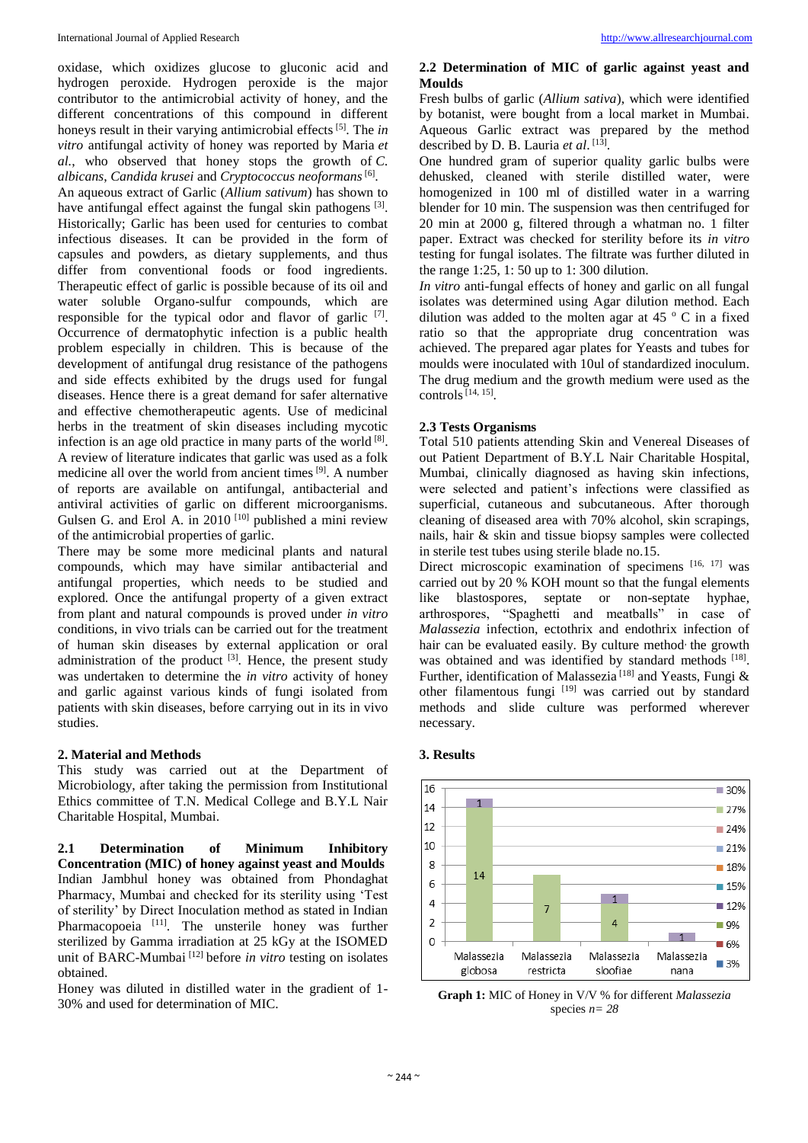oxidase, which oxidizes glucose to gluconic acid and hydrogen peroxide. Hydrogen peroxide is the major contributor to the antimicrobial activity of honey, and the different concentrations of this compound in different honeys result in their varying antimicrobial effects [5] . The *in vitro* antifungal activity of honey was reported by Maria *et al.*, who observed that honey stops the growth of *C. albicans*, *Candida krusei* and *Cryptococcus neoformans*[6] . An aqueous extract of Garlic (*Allium sativum*) has shown to have antifungal effect against the fungal skin pathogens<sup>[3]</sup>. Historically; Garlic has been used for centuries to combat infectious diseases. It can be provided in the form of capsules and powders, as dietary supplements, and thus differ from conventional foods or food ingredients. Therapeutic effect of garlic is possible because of its oil and water soluble Organo-sulfur compounds, which are responsible for the typical odor and flavor of garlic  $[7]$ . Occurrence of dermatophytic infection is a public health problem especially in children. This is because of the development of antifungal drug resistance of the pathogens and side effects exhibited by the drugs used for fungal diseases. Hence there is a great demand for safer alternative and effective chemotherapeutic agents. Use of medicinal herbs in the treatment of skin diseases including mycotic infection is an age old practice in many parts of the world  $[8]$ . A review of literature indicates that garlic was used as a folk medicine all over the world from ancient times <sup>[9]</sup>. A number of reports are available on antifungal, antibacterial and antiviral activities of garlic on different microorganisms. Gulsen G. and Erol A. in 2010<sup>[10]</sup> published a mini review of the antimicrobial properties of garlic.

There may be some more medicinal plants and natural compounds, which may have similar antibacterial and antifungal properties, which needs to be studied and explored*.* Once the antifungal property of a given extract from plant and natural compounds is proved under *in vitro* conditions, in vivo trials can be carried out for the treatment of human skin diseases by external application or oral administration of the product <sup>[3]</sup>. Hence, the present study was undertaken to determine the *in vitro* activity of honey and garlic against various kinds of fungi isolated from patients with skin diseases, before carrying out in its in vivo studies.

# **2. Material and Methods**

This study was carried out at the Department of Microbiology, after taking the permission from Institutional Ethics committee of T.N. Medical College and B.Y.L Nair Charitable Hospital, Mumbai.

**2.1 Determination of Minimum Inhibitory Concentration (MIC) of honey against yeast and Moulds**  Indian Jambhul honey was obtained from Phondaghat Pharmacy, Mumbai and checked for its sterility using 'Test of sterility' by Direct Inoculation method as stated in Indian Pharmacopoeia<sup>[11]</sup>. The unsterile honey was further sterilized by Gamma irradiation at 25 kGy at the ISOMED unit of BARC-Mumbai [12] before *in vitro* testing on isolates obtained.

Honey was diluted in distilled water in the gradient of 1- 30% and used for determination of MIC.

# **2.2 Determination of MIC of garlic against yeast and Moulds**

Fresh bulbs of garlic (*Allium sativa*), which were identified by botanist, were bought from a local market in Mumbai. Aqueous Garlic extract was prepared by the method described by D. B. Lauria et al. [13].

One hundred gram of superior quality garlic bulbs were dehusked, cleaned with sterile distilled water, were homogenized in 100 ml of distilled water in a warring blender for 10 min. The suspension was then centrifuged for 20 min at 2000 g, filtered through a whatman no. 1 filter paper. Extract was checked for sterility before its *in vitro* testing for fungal isolates. The filtrate was further diluted in the range  $1:25$ ,  $1:50$  up to  $1:300$  dilution.

*In vitro* anti-fungal effects of honey and garlic on all fungal isolates was determined using Agar dilution method. Each dilution was added to the molten agar at  $45 \degree$  C in a fixed ratio so that the appropriate drug concentration was achieved. The prepared agar plates for Yeasts and tubes for moulds were inoculated with 10ul of standardized inoculum. The drug medium and the growth medium were used as the controls  $^{[14, 15]}$ .

# **2.3 Tests Organisms**

Total 510 patients attending Skin and Venereal Diseases of out Patient Department of B.Y.L Nair Charitable Hospital, Mumbai, clinically diagnosed as having skin infections, were selected and patient's infections were classified as superficial, cutaneous and subcutaneous. After thorough cleaning of diseased area with 70% alcohol, skin scrapings, nails, hair & skin and tissue biopsy samples were collected in sterile test tubes using sterile blade no.15.

Direct microscopic examination of specimens [16, 17] was carried out by 20 % KOH mount so that the fungal elements like blastospores, septate or non-septate hyphae, arthrospores, "Spaghetti and meatballs" in case of *Malassezia* infection, ectothrix and endothrix infection of hair can be evaluated easily. By culture method the growth was obtained and was identified by standard methods [18]. Further, identification of Malassezia<sup>[18]</sup> and Yeasts, Fungi  $\&$ other filamentous fungi [19] was carried out by standard methods and slide culture was performed wherever necessary.





**Graph 1:** MIC of Honey in V/V % for different *Malassezia*  species *n= 28*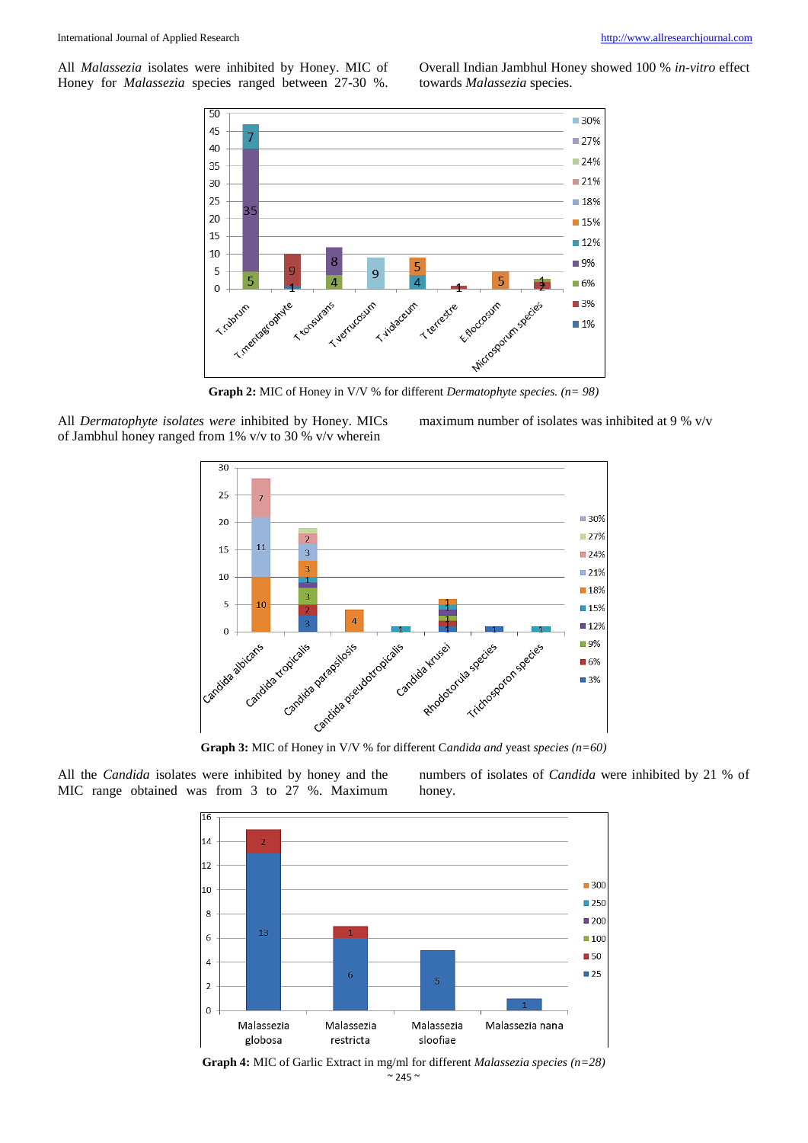All *Malassezia* isolates were inhibited by Honey. MIC of Honey for *Malassezia* species ranged between 27-30 %.

Overall Indian Jambhul Honey showed 100 % *in-vitro* effect towards *Malassezia* species.



**Graph 2:** MIC of Honey in V/V % for different *Dermatophyte species. (n= 98)*

All *Dermatophyte isolates were* inhibited by Honey. MICs of Jambhul honey ranged from 1% v/v to 30 % v/v wherein

maximum number of isolates was inhibited at 9 % v/v



**Graph 3:** MIC of Honey in V/V % for different C*andida and* yeast *species (n=60)*

All the *Candida* isolates were inhibited by honey and the MIC range obtained was from 3 to 27 %. Maximum numbers of isolates of *Candida* were inhibited by 21 % of honey.



 $\sim$  245  $\sim$ **Graph 4:** MIC of Garlic Extract in mg/ml for different *Malassezia species (n=28)*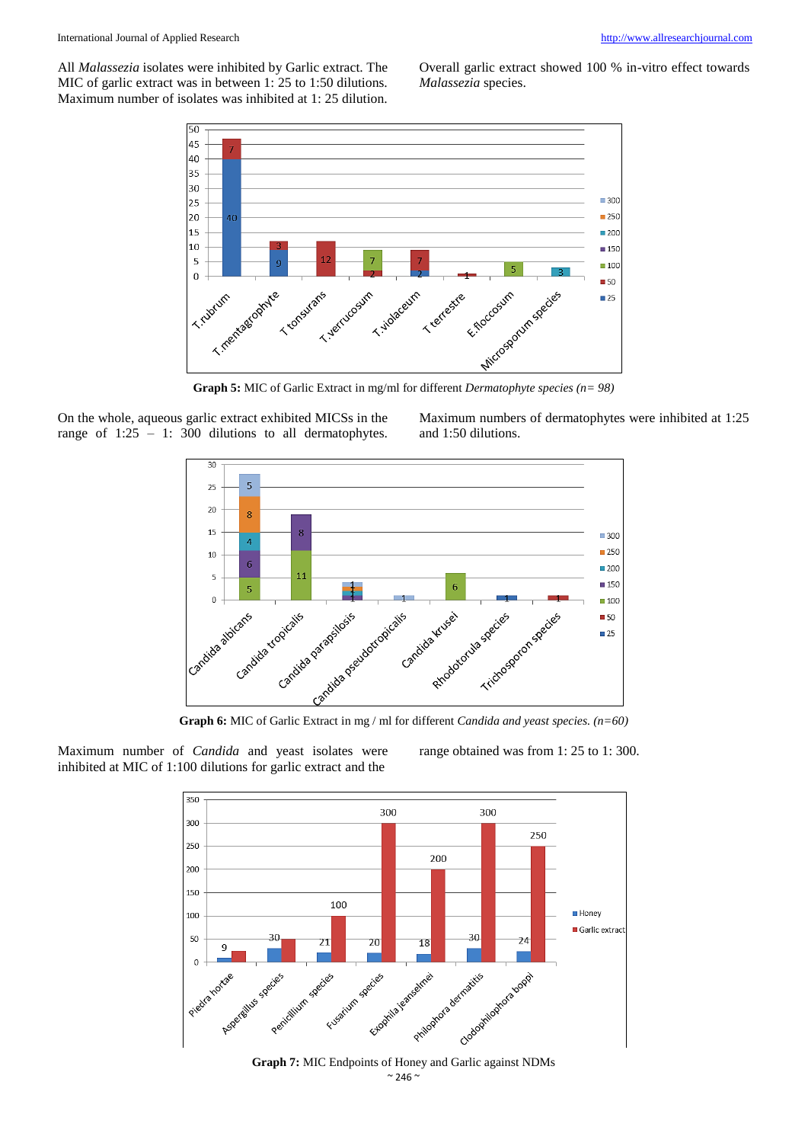All *Malassezia* isolates were inhibited by Garlic extract. The MIC of garlic extract was in between 1: 25 to 1:50 dilutions. Maximum number of isolates was inhibited at 1: 25 dilution.

Overall garlic extract showed 100 % in-vitro effect towards *Malassezia* species.



On the whole, aqueous garlic extract exhibited MICSs in the range of 1:25 – 1: 300 dilutions to all dermatophytes.

Maximum numbers of dermatophytes were inhibited at 1:25 and 1:50 dilutions.



**Graph 6:** MIC of Garlic Extract in mg / ml for different *Candida and yeast species. (n=60)*

Maximum number of *Candida* and yeast isolates were inhibited at MIC of 1:100 dilutions for garlic extract and the range obtained was from 1: 25 to 1: 300.



 $\sim$  246  $\sim$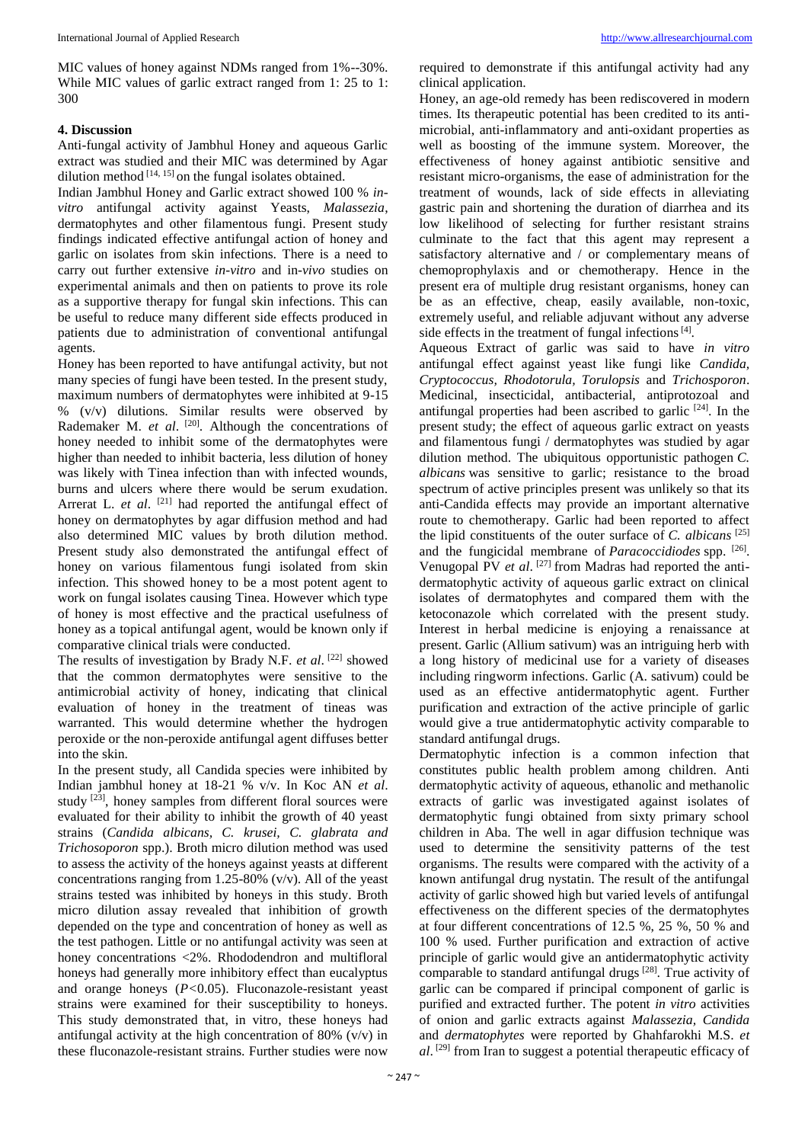MIC values of honey against NDMs ranged from 1%--30%. While MIC values of garlic extract ranged from 1: 25 to 1: 300

# **4. Discussion**

Anti-fungal activity of Jambhul Honey and aqueous Garlic extract was studied and their MIC was determined by Agar dilution method  $[14, 15]$  on the fungal isolates obtained.

Indian Jambhul Honey and Garlic extract showed 100 % *invitro* antifungal activity against Yeasts, *Malassezia*, dermatophytes and other filamentous fungi. Present study findings indicated effective antifungal action of honey and garlic on isolates from skin infections. There is a need to carry out further extensive *in-vitro* and in*-vivo* studies on experimental animals and then on patients to prove its role as a supportive therapy for fungal skin infections. This can be useful to reduce many different side effects produced in patients due to administration of conventional antifungal agents.

Honey has been reported to have antifungal activity, but not many species of fungi have been tested. In the present study, maximum numbers of dermatophytes were inhibited at 9-15  $\%$  (v/v) dilutions. Similar results were observed by Rademaker M. *et al.* <sup>[20]</sup>. Although the concentrations of honey needed to inhibit some of the dermatophytes were higher than needed to inhibit bacteria, less dilution of honey was likely with Tinea infection than with infected wounds, burns and ulcers where there would be serum exudation. Arrerat L. *et al.* <sup>[21]</sup> had reported the antifungal effect of honey on dermatophytes by agar diffusion method and had also determined MIC values by broth dilution method. Present study also demonstrated the antifungal effect of honey on various filamentous fungi isolated from skin infection. This showed honey to be a most potent agent to work on fungal isolates causing Tinea. However which type of honey is most effective and the practical usefulness of honey as a topical antifungal agent, would be known only if comparative clinical trials were conducted.

The results of investigation by Brady N.F. *et al*. [22] showed that the common dermatophytes were sensitive to the antimicrobial activity of honey, indicating that clinical evaluation of honey in the treatment of tineas was warranted. This would determine whether the hydrogen peroxide or the non-peroxide antifungal agent diffuses better into the skin.

In the present study, all Candida species were inhibited by Indian jambhul honey at 18-21 % v/v. In Koc AN *et al*. study<sup>[23]</sup>, honey samples from different floral sources were evaluated for their ability to inhibit the growth of 40 yeast strains (*Candida albicans, C. krusei, C. glabrata and Trichosoporon* spp.). Broth micro dilution method was used to assess the activity of the honeys against yeasts at different concentrations ranging from 1.25-80%  $(v/v)$ . All of the yeast strains tested was inhibited by honeys in this study. Broth micro dilution assay revealed that inhibition of growth depended on the type and concentration of honey as well as the test pathogen. Little or no antifungal activity was seen at honey concentrations <2%. Rhododendron and multifloral honeys had generally more inhibitory effect than eucalyptus and orange honeys (*P<*0.05). Fluconazole-resistant yeast strains were examined for their susceptibility to honeys. This study demonstrated that, in vitro, these honeys had antifungal activity at the high concentration of 80%  $(v/v)$  in these fluconazole-resistant strains. Further studies were now

required to demonstrate if this antifungal activity had any clinical application.

Honey, an age-old remedy has been rediscovered in modern times. Its therapeutic potential has been credited to its antimicrobial, anti-inflammatory and anti-oxidant properties as well as boosting of the immune system. Moreover, the effectiveness of honey against antibiotic sensitive and resistant micro-organisms, the ease of administration for the treatment of wounds, lack of side effects in alleviating gastric pain and shortening the duration of diarrhea and its low likelihood of selecting for further resistant strains culminate to the fact that this agent may represent a satisfactory alternative and / or complementary means of chemoprophylaxis and or chemotherapy. Hence in the present era of multiple drug resistant organisms, honey can be as an effective, cheap, easily available, non-toxic, extremely useful, and reliable adjuvant without any adverse side effects in the treatment of fungal infections  $[4]$ .

Aqueous Extract of garlic was said to have *in vitro* antifungal effect against yeast like fungi like *Candida, Cryptococcus, Rhodotorula, Torulopsis* and *Trichosporon*. Medicinal, insecticidal, antibacterial, antiprotozoal and antifungal properties had been ascribed to garlic  $[24]$ . In the present study; the effect of aqueous garlic extract on yeasts and filamentous fungi / dermatophytes was studied by agar dilution method. The ubiquitous opportunistic pathogen *C. albicans* was sensitive to garlic; resistance to the broad spectrum of active principles present was unlikely so that its anti-Candida effects may provide an important alternative route to chemotherapy. Garlic had been reported to affect the lipid constituents of the outer surface of *C. albicans* [25] and the fungicidal membrane of *Paracoccidiodes* spp. [26]. Venugopal PV *et al.* <sup>[27]</sup> from Madras had reported the antidermatophytic activity of aqueous garlic extract on clinical isolates of dermatophytes and compared them with the ketoconazole which correlated with the present study. Interest in herbal medicine is enjoying a renaissance at present. Garlic (Allium sativum) was an intriguing herb with a long history of medicinal use for a variety of diseases including ringworm infections. Garlic (A. sativum) could be used as an effective antidermatophytic agent. Further purification and extraction of the active principle of garlic would give a true antidermatophytic activity comparable to standard antifungal drugs.

Dermatophytic infection is a common infection that constitutes public health problem among children. Anti dermatophytic activity of aqueous, ethanolic and methanolic extracts of garlic was investigated against isolates of dermatophytic fungi obtained from sixty primary school children in Aba. The well in agar diffusion technique was used to determine the sensitivity patterns of the test organisms. The results were compared with the activity of a known antifungal drug nystatin. The result of the antifungal activity of garlic showed high but varied levels of antifungal effectiveness on the different species of the dermatophytes at four different concentrations of 12.5 %, 25 %, 50 % and 100 % used. Further purification and extraction of active principle of garlic would give an antidermatophytic activity comparable to standard antifungal drugs<sup>[28]</sup>. True activity of garlic can be compared if principal component of garlic is purified and extracted further. The potent *in vitro* activities of onion and garlic extracts against *Malassezia, Candida* and *dermatophytes* were reported by Ghahfarokhi M.S. *et al*. [29] from Iran to suggest a potential therapeutic efficacy of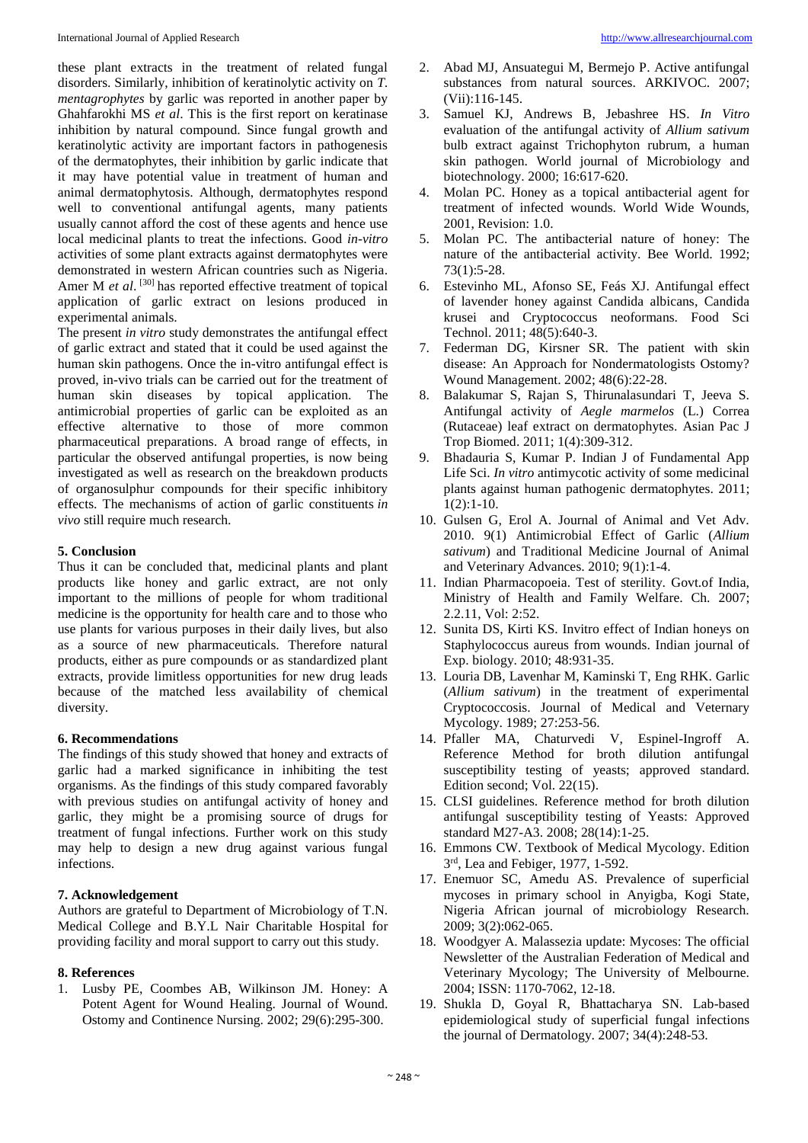these plant extracts in the treatment of related fungal disorders. Similarly, inhibition of keratinolytic activity on *T. mentagrophytes* by garlic was reported in another paper by Ghahfarokhi MS *et al*. This is the first report on keratinase inhibition by natural compound. Since fungal growth and keratinolytic activity are important factors in pathogenesis of the dermatophytes, their inhibition by garlic indicate that it may have potential value in treatment of human and animal dermatophytosis. Although, dermatophytes respond well to conventional antifungal agents, many patients usually cannot afford the cost of these agents and hence use local medicinal plants to treat the infections. Good *in-vitro*  activities of some plant extracts against dermatophytes were demonstrated in western African countries such as Nigeria. Amer M *et al.* <sup>[30]</sup> has reported effective treatment of topical application of garlic extract on lesions produced in experimental animals.

The present *in vitro* study demonstrates the antifungal effect of garlic extract and stated that it could be used against the human skin pathogens. Once the in-vitro antifungal effect is proved, in-vivo trials can be carried out for the treatment of human skin diseases by topical application. The antimicrobial properties of garlic can be exploited as an effective alternative to those of more common pharmaceutical preparations. A broad range of effects, in particular the observed antifungal properties, is now being investigated as well as research on the breakdown products of organosulphur compounds for their specific inhibitory effects. The mechanisms of action of garlic constituents *in vivo* still require much research.

# **5. Conclusion**

Thus it can be concluded that, medicinal plants and plant products like honey and garlic extract, are not only important to the millions of people for whom traditional medicine is the opportunity for health care and to those who use plants for various purposes in their daily lives, but also as a source of new pharmaceuticals. Therefore natural products, either as pure compounds or as standardized plant extracts, provide limitless opportunities for new drug leads because of the matched less availability of chemical diversity.

### **6. Recommendations**

The findings of this study showed that honey and extracts of garlic had a marked significance in inhibiting the test organisms. As the findings of this study compared favorably with previous studies on antifungal activity of honey and garlic, they might be a promising source of drugs for treatment of fungal infections. Further work on this study may help to design a new drug against various fungal infections.

### **7. Acknowledgement**

Authors are grateful to Department of Microbiology of T.N. Medical College and B.Y.L Nair Charitable Hospital for providing facility and moral support to carry out this study.

#### **8. References**

1. Lusby PE, Coombes AB, Wilkinson JM. Honey: A Potent Agent for Wound Healing. Journal of Wound. Ostomy and Continence Nursing. 2002; 29(6):295-300.

- 2. Abad MJ, Ansuategui M, Bermejo P. Active antifungal substances from natural sources. ARKIVOC. 2007; (Vii):116-145.
- 3. Samuel KJ, Andrews B, Jebashree HS. *In Vitro* evaluation of the antifungal activity of *Allium sativum* bulb extract against Trichophyton rubrum, a human skin pathogen. World journal of Microbiology and biotechnology. 2000; 16:617-620.
- 4. Molan PC. Honey as a topical antibacterial agent for treatment of infected wounds. World Wide Wounds, 2001, Revision: 1.0.
- 5. Molan PC. The antibacterial nature of honey: The nature of the antibacterial activity. Bee World. 1992; 73(1):5-28.
- 6. Estevinho ML, Afonso SE, Feás XJ. Antifungal effect of lavender honey against Candida albicans, Candida krusei and Cryptococcus neoformans. Food Sci Technol. 2011; 48(5):640-3.
- 7. Federman DG, Kirsner SR. The patient with skin disease: An Approach for Nondermatologists Ostomy? Wound Management. 2002; 48(6):22-28.
- 8. Balakumar S, Rajan S, Thirunalasundari T, Jeeva S. Antifungal activity of *Aegle marmelos* (L.) Correa (Rutaceae) leaf extract on dermatophytes. Asian Pac J Trop Biomed. 2011; 1(4):309-312.
- 9. Bhadauria S, Kumar P. Indian J of Fundamental App Life Sci. *In vitro* antimycotic activity of some medicinal plants against human pathogenic dermatophytes. 2011;  $1(2):1-10.$
- 10. Gulsen G, Erol A. Journal of Animal and Vet Adv. 2010. 9(1) Antimicrobial Effect of Garlic (*Allium sativum*) and Traditional Medicine Journal of Animal and Veterinary Advances. 2010; 9(1):1-4.
- 11. Indian Pharmacopoeia. Test of sterility. Govt.of India, Ministry of Health and Family Welfare. Ch. 2007; 2.2.11, Vol: 2:52.
- 12. Sunita DS, Kirti KS. Invitro effect of Indian honeys on Staphylococcus aureus from wounds. Indian journal of Exp. biology. 2010; 48:931-35.
- 13. Louria DB, Lavenhar M, Kaminski T, Eng RHK. Garlic (*Allium sativum*) in the treatment of experimental Cryptococcosis. Journal of Medical and Veternary Mycology. 1989; 27:253-56.
- 14. Pfaller MA, Chaturvedi V, Espinel-Ingroff A. Reference Method for broth dilution antifungal susceptibility testing of yeasts; approved standard. Edition second; Vol. 22(15).
- 15. CLSI guidelines. Reference method for broth dilution antifungal susceptibility testing of Yeasts: Approved standard M27-A3. 2008; 28(14):1-25.
- 16. Emmons CW. Textbook of Medical Mycology. Edition 3<sup>rd</sup>, Lea and Febiger, 1977, 1-592.
- 17. Enemuor SC, Amedu AS. Prevalence of superficial mycoses in primary school in Anyigba, Kogi State, Nigeria African journal of microbiology Research. 2009; 3(2):062-065.
- 18. Woodgyer A. Malassezia update: Mycoses: The official Newsletter of the Australian Federation of Medical and Veterinary Mycology; The University of Melbourne. 2004; ISSN: 1170-7062, 12-18.
- 19. Shukla D, Goyal R, Bhattacharya SN. Lab-based epidemiological study of superficial fungal infections the journal of Dermatology. 2007; 34(4):248-53.